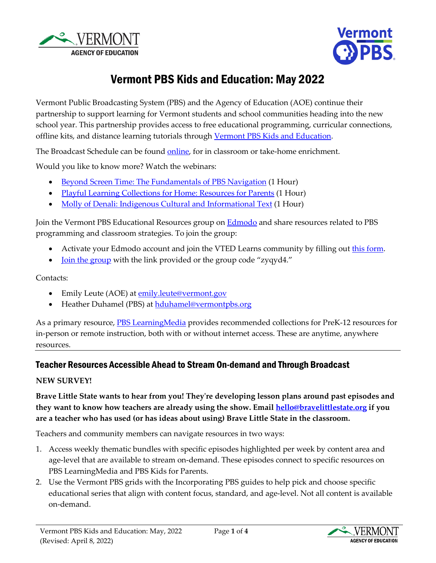



# Vermont PBS Kids and Education: May 2022

Vermont Public Broadcasting System (PBS) and the Agency of Education (AOE) continue their partnership to support learning for Vermont students and school communities heading into the new school year. This partnership provides access to free educational programming, curricular connections, offline kits, and distance learning tutorials through [Vermont PBS Kids and Education.](https://www.vermontpbs.org/distancelearning/) 

The Broadcast Schedule can be found [online,](https://www.vermontpbs.org/schedule/) for in classroom or take-home enrichment.

Would you like to know more? Watch the webinars:

- [Beyond Screen Time: The Fundamentals of PBS Navigation](https://youtu.be/vfKKLpLdAbc) (1 Hour)
- [Playful Learning Collections for Home: Resources for Parents](https://youtu.be/avGDev5tZ38) (1 Hour)
- [Molly of Denali: Indigenous Cultural and Informational Text](https://www.youtube.com/watch?v=J2vVo_6gi4Y) (1 Hour)

Join the Vermont PBS Educational Resources group on **Edmodo** and share resources related to PBS programming and classroom strategies. To join the group:

- Activate your Edmodo account and join the VTED Learns community by filling out [this form.](https://bit.ly/EdmodoVermontAOE)
- <u>[Join the group](https://new.edmodo.com/joincg/zyqyd4)</u> with the link provided or the group code "zyqyd4."

Contacts:

- Emily Leute (AOE) at **emily**.leute@vermont.gov
- Heather Duhamel (PBS) a[t hduhamel@vermontpbs.org](mailto:hduhamel@vermontpbs.org)

As a primary resource, **PBS LearningMedia** provides recommended collections for PreK-12 resources for in-person or remote instruction, both with or without internet access. These are anytime, anywhere resources.

## Teacher Resources Accessible Ahead to Stream On-demand and Through Broadcast

#### **NEW SURVEY!**

**Brave Little State wants to hear from you! They're developing lesson plans around past episodes and they want to know how teachers are already using the show. Email [hello@bravelittlestate.org](mailto:hello@bravelittlestate.org) if you are a teacher who has used (or has ideas about using) Brave Little State in the classroom.**

Teachers and community members can navigate resources in two ways:

- 1. Access weekly thematic bundles with specific episodes highlighted per week by content area and age-level that are available to stream on-demand. These episodes connect to specific resources o[n](https://www.pbslearningmedia.org/) [PBS LearningMedia](https://www.pbslearningmedia.org/) and [PBS Kids for Parents.](https://www.pbs.org/parents)
- 2. Use the [Vermont PBS grids](https://www.vermontpbs.org/schedule/) with the Incorporating PBS guides to help pick and choose specific educational series that align with content focus, standard, and age-level. Not all content is available on-demand.

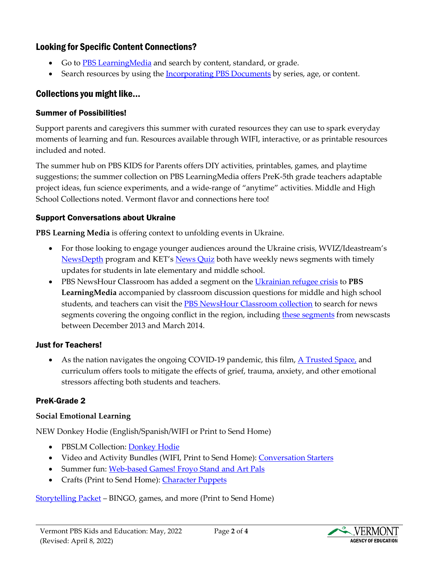# Looking for Specific Content Connections?

- Go to PBS Learning Media and search by content, standard, or grade.
- Search resources by using the [Incorporating PBS Documents](https://education.vermont.gov/documents/edu-fall-pbs-programming-and-supplemental-resources) by series, age, or content.

# Collections you might like...

### Summer of Possibilities!

Support parents and caregivers this summer with curated resources they can use to spark everyday moments of learning and fun. Resources available through WIFI, interactive, or as printable resources included and noted.

The summer hub on PBS KIDS for Parents offers DIY activities, printables, games, and playtime suggestions; the summer collection on PBS LearningMedia offers PreK-5th grade teachers adaptable project ideas, fun science experiments, and a wide-range of "anytime" activities. Middle and High School Collections noted. Vermont flavor and connections here too!

## Support Conversations about Ukraine

**PBS Learning Media** is offering context to unfolding events in Ukraine.

- For those looking to engage younger audiences around the Ukraine crisis, WVIZ/Ideastream's [NewsDepth](https://nam11.safelinks.protection.outlook.com/?url=https%3A%2F%2Fwww.pbslearningmedia.org%2Fcollection%2Fnewsdepth%2F&data=04%7C01%7Csfinn%40vpr.org%7Cba3ac01cd12243a3ad4708da06949410%7C66bea1f860184be189206f1f9a7d36d5%7C1%7C0%7C637829532460911553%7CUnknown%7CTWFpbGZsb3d8eyJWIjoiMC4wLjAwMDAiLCJQIjoiV2luMzIiLCJBTiI6Ik1haWwiLCJXVCI6Mn0%3D%7C3000&sdata=1bgW40qh%2F7EnCKhoCpwnAaMN%2FEXwryOTYNgHaQ%2B3yaI%3D&reserved=0) program and KET's [News Quiz](https://nam11.safelinks.protection.outlook.com/?url=https%3A%2F%2Fwww.pbslearningmedia.org%2Fcollection%2Fnewsquiz%2F&data=04%7C01%7Csfinn%40vpr.org%7Cba3ac01cd12243a3ad4708da06949410%7C66bea1f860184be189206f1f9a7d36d5%7C1%7C0%7C637829532460911553%7CUnknown%7CTWFpbGZsb3d8eyJWIjoiMC4wLjAwMDAiLCJQIjoiV2luMzIiLCJBTiI6Ik1haWwiLCJXVCI6Mn0%3D%7C3000&sdata=jbhRcLEvYNLRahIDzlAr62BRktcYBpptR8aqY5S4qNM%3D&reserved=0) both have weekly news segments with timely updates for students in late elementary and middle school.
- PBS NewsHour Classroom has added a segment on the [Ukrainian refugee crisis](https://nam11.safelinks.protection.outlook.com/?url=https%3A%2F%2Fwww.pbslearningmedia.org%2Fresource%2Fukraine-refugees-in-europe%2Fpbs-newshour-video%2F&data=04%7C01%7Csfinn%40vpr.org%7Cba3ac01cd12243a3ad4708da06949410%7C66bea1f860184be189206f1f9a7d36d5%7C1%7C0%7C637829532460911553%7CUnknown%7CTWFpbGZsb3d8eyJWIjoiMC4wLjAwMDAiLCJQIjoiV2luMzIiLCJBTiI6Ik1haWwiLCJXVCI6Mn0%3D%7C3000&sdata=BYRXhOdb7gse0Vu07%2FednW%2BZ2yPA2uUpI9O6f7XxU6E%3D&reserved=0) to **PBS LearningMedia** accompanied by classroom discussion questions for middle and high school students, and teachers can visit the [PBS NewsHour Classroom collection](https://nam11.safelinks.protection.outlook.com/?url=https%3A%2F%2Fwww.pbslearningmedia.org%2Fcollection%2Fnewshour-classroom%2F&data=04%7C01%7Csfinn%40vpr.org%7Cba3ac01cd12243a3ad4708da06949410%7C66bea1f860184be189206f1f9a7d36d5%7C1%7C0%7C637829532460911553%7CUnknown%7CTWFpbGZsb3d8eyJWIjoiMC4wLjAwMDAiLCJQIjoiV2luMzIiLCJBTiI6Ik1haWwiLCJXVCI6Mn0%3D%7C3000&sdata=YHJrN5s%2BMco%2FyLdMRtCqFsvSTY6tUj7%2BjfoKRe9W39c%3D&reserved=0) to search for news segments covering the ongoing conflict in the region, including [these segments](https://nam11.safelinks.protection.outlook.com/?url=https%3A%2F%2Fwww.pbslearningmedia.org%2Fresource%2F78e86d4a-a3f3-4c16-aee9-99b45f3b4102%2Fcurrent-events-ukraine%2F&data=04%7C01%7Csfinn%40vpr.org%7Cba3ac01cd12243a3ad4708da06949410%7C66bea1f860184be189206f1f9a7d36d5%7C1%7C0%7C637829532460911553%7CUnknown%7CTWFpbGZsb3d8eyJWIjoiMC4wLjAwMDAiLCJQIjoiV2luMzIiLCJBTiI6Ik1haWwiLCJXVCI6Mn0%3D%7C3000&sdata=2QNzSTuD9Al%2Fjp1x7jKMaj63RoLzb0BBOLUZcCZtIw4%3D&reserved=0) from newscasts between December 2013 and March 2014.

## Just for Teachers!

• As the nation navigates the ongoing COVID-19 pandemic, this film,  $\overline{A}$  Trusted Space, and curriculum offers tools to mitigate the effects of grief, trauma, anxiety, and other emotional stressors affecting both students and teachers.

# PreK-Grade 2

## **Social Emotional Learning**

NEW Donkey Hodie (English/Spanish/WIFI or Print to Send Home)

- PBSLM Collection: [Donkey Hodie](https://vermont.pbslearningmedia.org/collection/donkey-hodie-collection/)
- Video and Activity Bundles (WIFI, Print to Send Home): [Conversation Starters](https://vermont.pbslearningmedia.org/resource/media-integration-document-convers-cards-donkey/activity-starters-donkey-hodie-activity-conversation-cards-pbs-kids/)
- Summer fun: [Web-based Games! Froyo Stand and Art Pals](https://vermont.pbslearningmedia.org/collection/donkey-hodie-collection/t/donkey-hodie-games/)
- Crafts (Print to Send Home): [Character Puppets](https://vermont.pbslearningmedia.org/resource/super-duper-sleepover-video/donkey-hodie-season-1/)

[Storytelling Packet](https://vermont.pbslearningmedia.org/resource/storytelling-packet-prek-and-k/pbs-kids/) – BINGO, games, and more (Print to Send Home)

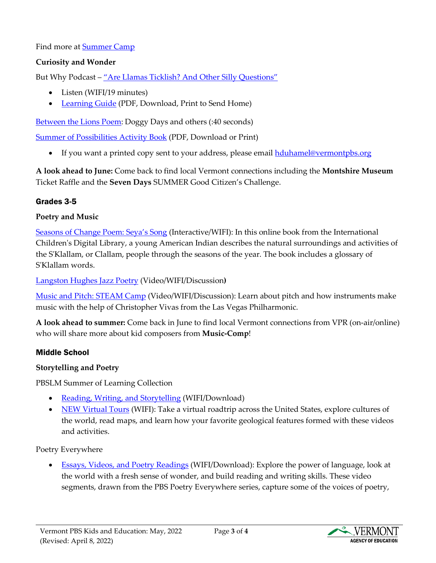Find more at **Summer Camp** 

#### **Curiosity and Wonder**

But Why Podcast – ["Are Llamas Ticklish? And Other Silly Questions"](https://www.vpr.org/programs/2020-03-27/are-llamas-ticklish-and-other-silly-questions)

- Listen (WIFI/19 minutes)
- [Learning Guide](https://npr-brightspot.s3.amazonaws.com/legacy/sites/vpr/files/202009/are_llamas_ticklish_and_other_silly_questions.pdf) (PDF, Download, Print to Send Home)

[Between the Lions Poem:](https://vermont.pbslearningmedia.org/resource/arct14.ela.early.poemdoggy/poem-doggy-days/) Doggy Days and others (:40 seconds)

[Summer of Possibilities Activity Book](https://vermont.pbslearningmedia.org/resource/summer-activity-booklet-2021/pbs-kids/) (PDF, Download or Print)

• If you want a printed copy sent to your address, please email [hduhamel@vermontpbs.org](mailto:hduhamel@vermontpbs.org)

**A look ahead to June:** Come back to find local Vermont connections including the **Montshire Museum** Ticket Raffle and the **Seven Days** SUMMER Good Citizen's Challenge.

#### Grades 3-5

#### **Poetry and Music**

[Seasons of Change Poem: Seya's Song](https://vermont.pbslearningmedia.org/resource/icdl.la.rv.genre.seya/seyas-song/) (Interactive/WIFI): In this online book from the International Children's Digital Library, a young American Indian describes the natural surroundings and activities of the S'Klallam, or Clallam, people through the seasons of the year. The book includes a glossary of S'Klallam words.

[Langston Hughes Jazz Poetry](https://vermont.pbslearningmedia.org/resource/langston-hughes-video/wviz-know-ohio/) (Video/WIFI/Discussion**)**

[Music and Pitch: STEAM Camp](https://vermont.pbslearningmedia.org/resource/music-and-pitch-video/vegas-pbs-steam-camp/) (Video/WIFI/Discussion): Learn about pitch and how instruments make music with the help of Christopher Vivas from the Las Vegas Philharmonic.

**A look ahead to summer:** Come back in June to find local Vermont connections from VPR (on-air/online) who will share more about kid composers from **Music-Comp**!

#### Middle School

#### **Storytelling and Poetry**

PBSLM Summer of Learning Collection

- [Reading, Writing, and Storytelling](https://vermont.pbslearningmedia.org/collection/summer-learning-collection/t/summer-reading-writing-storytelling/) (WIFI/Download)
- [NEW Virtual Tours](https://vermont.pbslearningmedia.org/collection/summer-learning-collection/t/summer-virtual-tours/) (WIFI): Take a virtual roadtrip across the United States, explore cultures of the world, read maps, and learn how your favorite geological features formed with these videos and activities.

Poetry Everywhere

• [Essays, Videos, and](https://vermont.pbslearningmedia.org/collection/pe08-ex/) Poetry Readings (WIFI/Download): Explore the power of language, look at the world with a fresh sense of wonder, and build reading and writing skills. These video segments, drawn from the PBS Poetry Everywhere series, capture some of the voices of poetry,